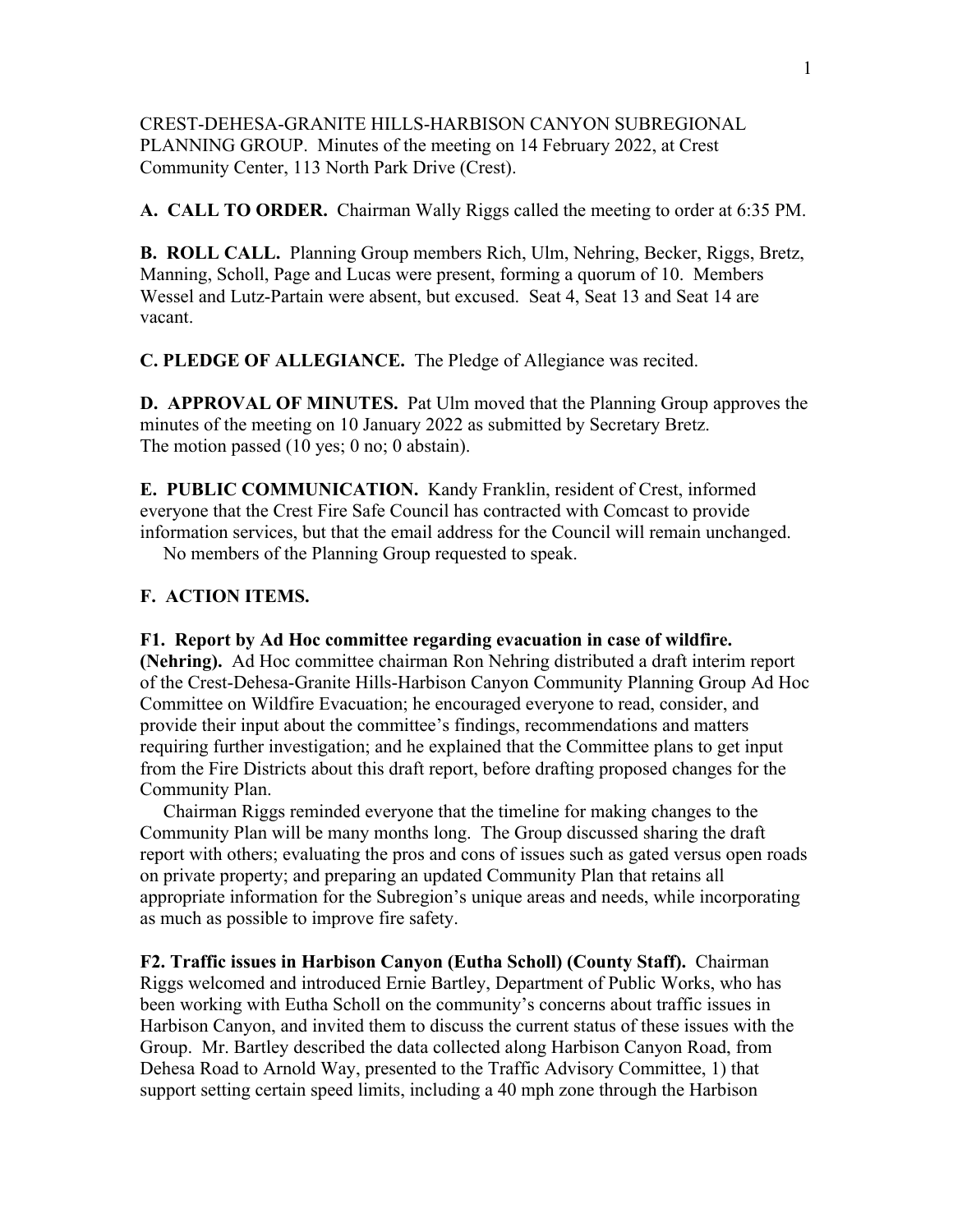CREST-DEHESA-GRANITE HILLS-HARBISON CANYON SUBREGIONAL PLANNING GROUP. Minutes of the meeting on 14 February 2022, at Crest Community Center, 113 North Park Drive (Crest).

**A. CALL TO ORDER.** Chairman Wally Riggs called the meeting to order at 6:35 PM.

**B. ROLL CALL.** Planning Group members Rich, Ulm, Nehring, Becker, Riggs, Bretz, Manning, Scholl, Page and Lucas were present, forming a quorum of 10. Members Wessel and Lutz-Partain were absent, but excused. Seat 4, Seat 13 and Seat 14 are vacant.

**C. PLEDGE OF ALLEGIANCE.** The Pledge of Allegiance was recited.

**D. APPROVAL OF MINUTES.** Pat Ulm moved that the Planning Group approves the minutes of the meeting on 10 January 2022 as submitted by Secretary Bretz. The motion passed (10 yes; 0 no; 0 abstain).

**E. PUBLIC COMMUNICATION.** Kandy Franklin, resident of Crest, informed everyone that the Crest Fire Safe Council has contracted with Comcast to provide information services, but that the email address for the Council will remain unchanged.

No members of the Planning Group requested to speak.

## **F. ACTION ITEMS.**

**F1. Report by Ad Hoc committee regarding evacuation in case of wildfire. (Nehring).** Ad Hoc committee chairman Ron Nehring distributed a draft interim report of the Crest-Dehesa-Granite Hills-Harbison Canyon Community Planning Group Ad Hoc Committee on Wildfire Evacuation; he encouraged everyone to read, consider, and provide their input about the committee's findings, recommendations and matters requiring further investigation; and he explained that the Committee plans to get input from the Fire Districts about this draft report, before drafting proposed changes for the Community Plan.

 Chairman Riggs reminded everyone that the timeline for making changes to the Community Plan will be many months long. The Group discussed sharing the draft report with others; evaluating the pros and cons of issues such as gated versus open roads on private property; and preparing an updated Community Plan that retains all appropriate information for the Subregion's unique areas and needs, while incorporating as much as possible to improve fire safety.

**F2. Traffic issues in Harbison Canyon (Eutha Scholl) (County Staff).** Chairman Riggs welcomed and introduced Ernie Bartley, Department of Public Works, who has been working with Eutha Scholl on the community's concerns about traffic issues in Harbison Canyon, and invited them to discuss the current status of these issues with the Group. Mr. Bartley described the data collected along Harbison Canyon Road, from Dehesa Road to Arnold Way, presented to the Traffic Advisory Committee, 1) that support setting certain speed limits, including a 40 mph zone through the Harbison